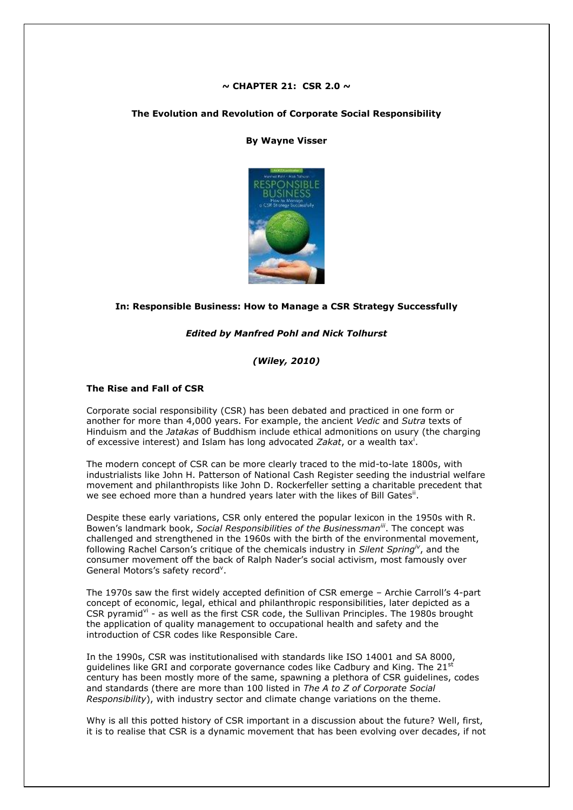### **~ CHAPTER 21: CSR 2.0 ~**

## **The Evolution and Revolution of Corporate Social Responsibility**

### **By Wayne Visser**



### **In: Responsible Business: How to Manage a CSR Strategy Successfully**

### *Edited by Manfred Pohl and Nick Tolhurst*

*(Wiley, 2010)*

### **The Rise and Fall of CSR**

Corporate social responsibility (CSR) has been debated and practiced in one form or another for more than 4,000 years. For example, the ancient *Vedic* and *Sutra* texts of Hinduism and the *Jatakas* of Buddhism include ethical admonitions on usury (the charging of excessive interest) and Islam has long advocated Zakat, or a wealth tax<sup>i</sup>.

The modern concept of CSR can be more clearly traced to the mid-to-late 1800s, with industrialists like John H. Patterson of National Cash Register seeding the industrial welfare movement and philanthropists like John D. Rockerfeller setting a charitable precedent that we see echoed more than a hundred years later with the likes of Bill Gates<sup>ii</sup>.

Despite these early variations, CSR only entered the popular lexicon in the 1950s with R. Bowen's landmark book, *Social Responsibilities of the Businessmaniii*. The concept was challenged and strengthened in the 1960s with the birth of the environmental movement, following Rachel Carson's critique of the chemicals industry in *Silent Springiv* , and the consumer movement off the back of Ralph Nader's social activism, most famously over General Motors's safety record<sup>v</sup>.

The 1970s saw the first widely accepted definition of CSR emerge – Archie Carroll's 4-part concept of economic, legal, ethical and philanthropic responsibilities, later depicted as a CSR pyramid<sup>vi</sup> - as well as the first CSR code, the Sullivan Principles. The 1980s brought the application of quality management to occupational health and safety and the introduction of CSR codes like Responsible Care.

In the 1990s, CSR was institutionalised with standards like ISO 14001 and SA 8000, quidelines like GRI and corporate governance codes like Cadbury and King. The 21 $^{st}$ century has been mostly more of the same, spawning a plethora of CSR guidelines, codes and standards (there are more than 100 listed in *The A to Z of Corporate Social Responsibility*), with industry sector and climate change variations on the theme.

Why is all this potted history of CSR important in a discussion about the future? Well, first, it is to realise that CSR is a dynamic movement that has been evolving over decades, if not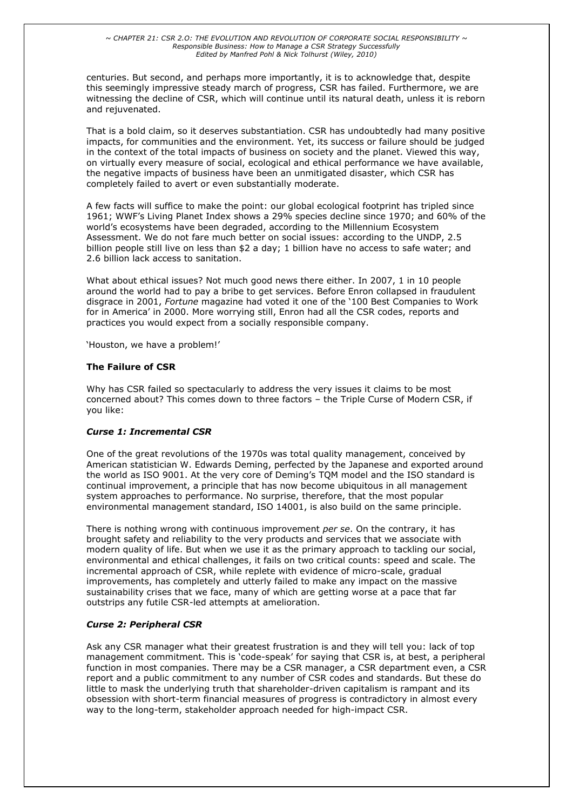centuries. But second, and perhaps more importantly, it is to acknowledge that, despite this seemingly impressive steady march of progress, CSR has failed. Furthermore, we are witnessing the decline of CSR, which will continue until its natural death, unless it is reborn and rejuvenated.

That is a bold claim, so it deserves substantiation. CSR has undoubtedly had many positive impacts, for communities and the environment. Yet, its success or failure should be judged in the context of the total impacts of business on society and the planet. Viewed this way, on virtually every measure of social, ecological and ethical performance we have available, the negative impacts of business have been an unmitigated disaster, which CSR has completely failed to avert or even substantially moderate.

A few facts will suffice to make the point: our global ecological footprint has tripled since 1961; WWF's Living Planet Index shows a 29% species decline since 1970; and 60% of the world's ecosystems have been degraded, according to the Millennium Ecosystem Assessment. We do not fare much better on social issues: according to the UNDP, 2.5 billion people still live on less than \$2 a day; 1 billion have no access to safe water; and 2.6 billion lack access to sanitation.

What about ethical issues? Not much good news there either. In 2007, 1 in 10 people around the world had to pay a bribe to get services. Before Enron collapsed in fraudulent disgrace in 2001, *Fortune* magazine had voted it one of the '100 Best Companies to Work for in America' in 2000. More worrying still, Enron had all the CSR codes, reports and practices you would expect from a socially responsible company.

'Houston, we have a problem!'

## **The Failure of CSR**

Why has CSR failed so spectacularly to address the very issues it claims to be most concerned about? This comes down to three factors – the Triple Curse of Modern CSR, if you like:

# *Curse 1: Incremental CSR*

One of the great revolutions of the 1970s was total quality management, conceived by American statistician W. Edwards Deming, perfected by the Japanese and exported around the world as ISO 9001. At the very core of Deming's TQM model and the ISO standard is continual improvement, a principle that has now become ubiquitous in all management system approaches to performance. No surprise, therefore, that the most popular environmental management standard, ISO 14001, is also build on the same principle.

There is nothing wrong with continuous improvement *per se*. On the contrary, it has brought safety and reliability to the very products and services that we associate with modern quality of life. But when we use it as the primary approach to tackling our social, environmental and ethical challenges, it fails on two critical counts: speed and scale. The incremental approach of CSR, while replete with evidence of micro-scale, gradual improvements, has completely and utterly failed to make any impact on the massive sustainability crises that we face, many of which are getting worse at a pace that far outstrips any futile CSR-led attempts at amelioration.

### *Curse 2: Peripheral CSR*

Ask any CSR manager what their greatest frustration is and they will tell you: lack of top management commitment. This is 'code-speak' for saying that CSR is, at best, a peripheral function in most companies. There may be a CSR manager, a CSR department even, a CSR report and a public commitment to any number of CSR codes and standards. But these do little to mask the underlying truth that shareholder-driven capitalism is rampant and its obsession with short-term financial measures of progress is contradictory in almost every way to the long-term, stakeholder approach needed for high-impact CSR.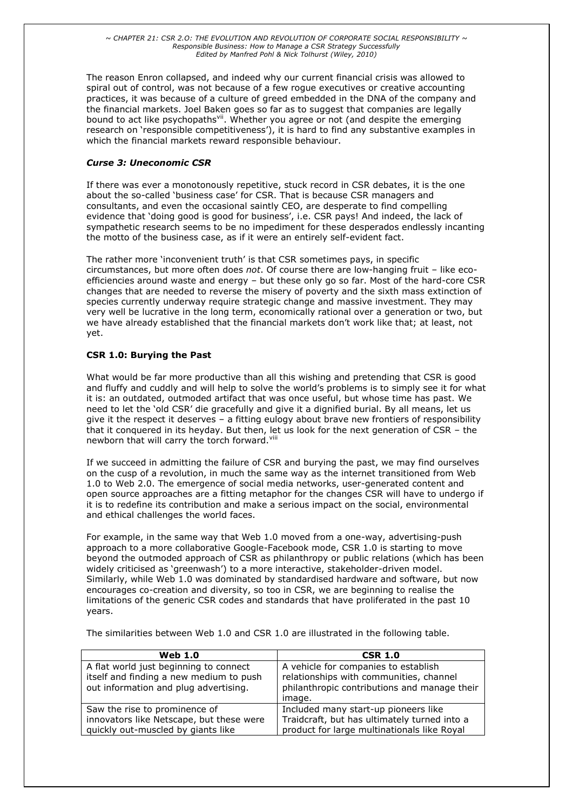The reason Enron collapsed, and indeed why our current financial crisis was allowed to spiral out of control, was not because of a few rogue executives or creative accounting practices, it was because of a culture of greed embedded in the DNA of the company and the financial markets. Joel Baken goes so far as to suggest that companies are legally bound to act like psychopaths<sup>vii</sup>. Whether you agree or not (and despite the emerging research on 'responsible competitiveness'), it is hard to find any substantive examples in which the financial markets reward responsible behaviour.

## *Curse 3: Uneconomic CSR*

If there was ever a monotonously repetitive, stuck record in CSR debates, it is the one about the so-called 'business case' for CSR. That is because CSR managers and consultants, and even the occasional saintly CEO, are desperate to find compelling evidence that 'doing good is good for business', i.e. CSR pays! And indeed, the lack of sympathetic research seems to be no impediment for these desperados endlessly incanting the motto of the business case, as if it were an entirely self-evident fact.

The rather more 'inconvenient truth' is that CSR sometimes pays, in specific circumstances, but more often does *not*. Of course there are low-hanging fruit – like ecoefficiencies around waste and energy – but these only go so far. Most of the hard-core CSR changes that are needed to reverse the misery of poverty and the sixth mass extinction of species currently underway require strategic change and massive investment. They may very well be lucrative in the long term, economically rational over a generation or two, but we have already established that the financial markets don't work like that; at least, not yet.

## **CSR 1.0: Burying the Past**

What would be far more productive than all this wishing and pretending that CSR is good and fluffy and cuddly and will help to solve the world's problems is to simply see it for what it is: an outdated, outmoded artifact that was once useful, but whose time has past. We need to let the 'old CSR' die gracefully and give it a dignified burial. By all means, let us give it the respect it deserves – a fitting eulogy about brave new frontiers of responsibility that it conquered in its heyday. But then, let us look for the next generation of CSR – the newborn that will carry the torch forward.<sup>viii</sup>

If we succeed in admitting the failure of CSR and burying the past, we may find ourselves on the cusp of a revolution, in much the same way as the internet transitioned from Web 1.0 to Web 2.0. The emergence of social media networks, user-generated content and open source approaches are a fitting metaphor for the changes CSR will have to undergo if it is to redefine its contribution and make a serious impact on the social, environmental and ethical challenges the world faces.

For example, in the same way that Web 1.0 moved from a one-way, advertising-push approach to a more collaborative Google-Facebook mode, CSR 1.0 is starting to move beyond the outmoded approach of CSR as philanthropy or public relations (which has been widely criticised as 'greenwash') to a more interactive, stakeholder-driven model. Similarly, while Web 1.0 was dominated by standardised hardware and software, but now encourages co-creation and diversity, so too in CSR, we are beginning to realise the limitations of the generic CSR codes and standards that have proliferated in the past 10 years.

The similarities between Web 1.0 and CSR 1.0 are illustrated in the following table.

| <b>Web 1.0</b>                                                                                                             | <b>CSR 1.0</b>                                                                                                                            |
|----------------------------------------------------------------------------------------------------------------------------|-------------------------------------------------------------------------------------------------------------------------------------------|
| A flat world just beginning to connect<br>itself and finding a new medium to push<br>out information and plug advertising. | A vehicle for companies to establish<br>relationships with communities, channel<br>philanthropic contributions and manage their<br>image. |
| Saw the rise to prominence of<br>innovators like Netscape, but these were<br>quickly out-muscled by giants like            | Included many start-up pioneers like<br>Traidcraft, but has ultimately turned into a<br>product for large multinationals like Royal       |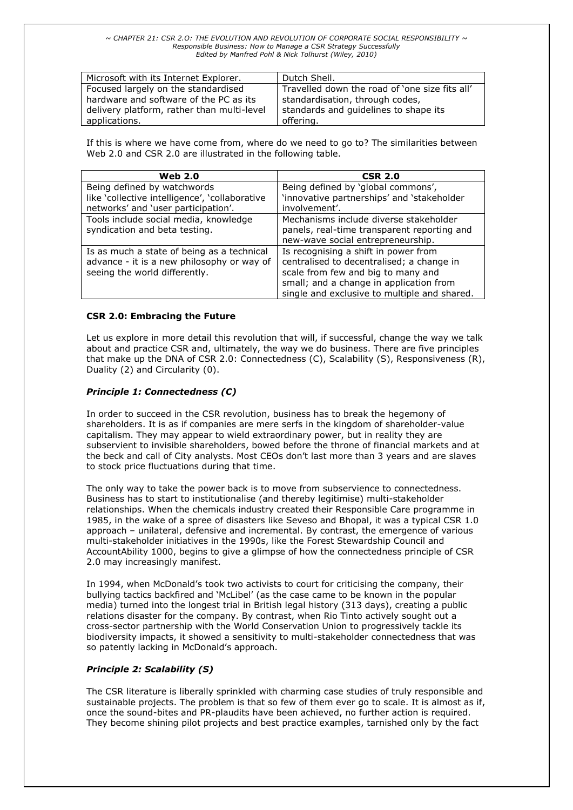*~ CHAPTER 21: CSR 2.O: THE EVOLUTION AND REVOLUTION OF CORPORATE SOCIAL RESPONSIBILITY ~ Responsible Business: How to Manage a CSR Strategy Successfully Edited by Manfred Pohl & Nick Tolhurst (Wiley, 2010)*

| Microsoft with its Internet Explorer.                                                                                                        | Dutch Shell.                                                                                                                            |
|----------------------------------------------------------------------------------------------------------------------------------------------|-----------------------------------------------------------------------------------------------------------------------------------------|
| Focused largely on the standardised<br>hardware and software of the PC as its<br>delivery platform, rather than multi-level<br>applications. | Travelled down the road of 'one size fits all'<br>standardisation, through codes,<br>standards and quidelines to shape its<br>offering. |
|                                                                                                                                              |                                                                                                                                         |

If this is where we have come from, where do we need to go to? The similarities between Web 2.0 and CSR 2.0 are illustrated in the following table.

| <b>Web 2.0</b>                                 | <b>CSR 2.0</b>                               |  |  |
|------------------------------------------------|----------------------------------------------|--|--|
| Being defined by watchwords                    | Being defined by 'global commons',           |  |  |
| like 'collective intelligence', 'collaborative | 'innovative partnerships' and 'stakeholder   |  |  |
| networks' and 'user participation'.            | involvement'.                                |  |  |
| Tools include social media, knowledge          | Mechanisms include diverse stakeholder       |  |  |
| syndication and beta testing.                  | panels, real-time transparent reporting and  |  |  |
|                                                | new-wave social entrepreneurship.            |  |  |
| Is as much a state of being as a technical     | Is recognising a shift in power from         |  |  |
| advance - it is a new philosophy or way of     | centralised to decentralised; a change in    |  |  |
| seeing the world differently.                  | scale from few and big to many and           |  |  |
|                                                | small; and a change in application from      |  |  |
|                                                | single and exclusive to multiple and shared. |  |  |

### **CSR 2.0: Embracing the Future**

Let us explore in more detail this revolution that will, if successful, change the way we talk about and practice CSR and, ultimately, the way we do business. There are five principles that make up the DNA of CSR 2.0: Connectedness (C), Scalability (S), Responsiveness (R), Duality (2) and Circularity (0).

### *Principle 1: Connectedness (C)*

In order to succeed in the CSR revolution, business has to break the hegemony of shareholders. It is as if companies are mere serfs in the kingdom of shareholder-value capitalism. They may appear to wield extraordinary power, but in reality they are subservient to invisible shareholders, bowed before the throne of financial markets and at the beck and call of City analysts. Most CEOs don't last more than 3 years and are slaves to stock price fluctuations during that time.

The only way to take the power back is to move from subservience to connectedness. Business has to start to institutionalise (and thereby legitimise) multi-stakeholder relationships. When the chemicals industry created their Responsible Care programme in 1985, in the wake of a spree of disasters like Seveso and Bhopal, it was a typical CSR 1.0 approach – unilateral, defensive and incremental. By contrast, the emergence of various multi-stakeholder initiatives in the 1990s, like the Forest Stewardship Council and AccountAbility 1000, begins to give a glimpse of how the connectedness principle of CSR 2.0 may increasingly manifest.

In 1994, when McDonald's took two activists to court for criticising the company, their bullying tactics backfired and 'McLibel' (as the case came to be known in the popular media) turned into the longest trial in British legal history (313 days), creating a public relations disaster for the company. By contrast, when Rio Tinto actively sought out a cross-sector partnership with the World Conservation Union to progressively tackle its biodiversity impacts, it showed a sensitivity to multi-stakeholder connectedness that was so patently lacking in McDonald's approach.

#### *Principle 2: Scalability (S)*

The CSR literature is liberally sprinkled with charming case studies of truly responsible and sustainable projects. The problem is that so few of them ever go to scale. It is almost as if, once the sound-bites and PR-plaudits have been achieved, no further action is required. They become shining pilot projects and best practice examples, tarnished only by the fact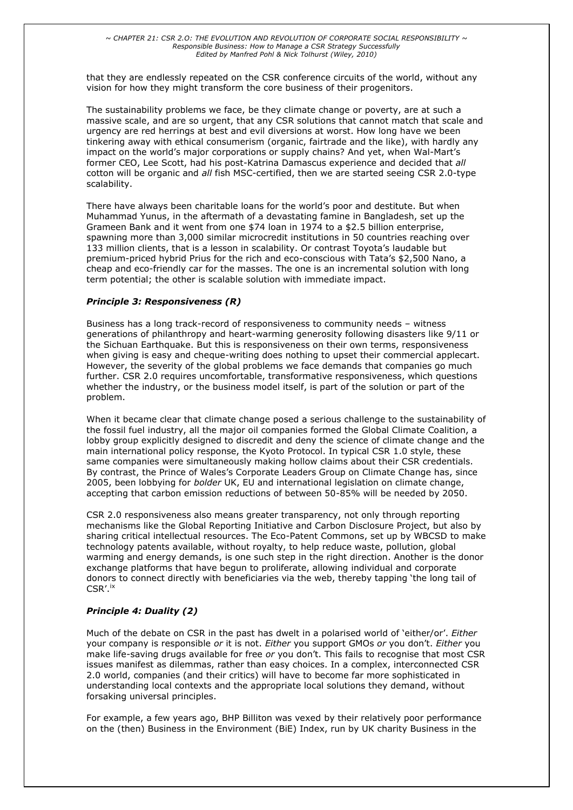that they are endlessly repeated on the CSR conference circuits of the world, without any vision for how they might transform the core business of their progenitors.

The sustainability problems we face, be they climate change or poverty, are at such a massive scale, and are so urgent, that any CSR solutions that cannot match that scale and urgency are red herrings at best and evil diversions at worst. How long have we been tinkering away with ethical consumerism (organic, fairtrade and the like), with hardly any impact on the world's major corporations or supply chains? And yet, when Wal-Mart's former CEO, Lee Scott, had his post-Katrina Damascus experience and decided that *all* cotton will be organic and *all* fish MSC-certified, then we are started seeing CSR 2.0-type scalability.

There have always been charitable loans for the world's poor and destitute. But when Muhammad Yunus, in the aftermath of a devastating famine in Bangladesh, set up the Grameen Bank and it went from one \$74 loan in 1974 to a \$2.5 billion enterprise, spawning more than 3,000 similar microcredit institutions in 50 countries reaching over 133 million clients, that is a lesson in scalability. Or contrast Toyota's laudable but premium-priced hybrid Prius for the rich and eco-conscious with Tata's \$2,500 Nano, a cheap and eco-friendly car for the masses. The one is an incremental solution with long term potential; the other is scalable solution with immediate impact.

## *Principle 3: Responsiveness (R)*

Business has a long track-record of responsiveness to community needs – witness generations of philanthropy and heart-warming generosity following disasters like 9/11 or the Sichuan Earthquake. But this is responsiveness on their own terms, responsiveness when giving is easy and cheque-writing does nothing to upset their commercial applecart. However, the severity of the global problems we face demands that companies go much further. CSR 2.0 requires uncomfortable, transformative responsiveness, which questions whether the industry, or the business model itself, is part of the solution or part of the problem.

When it became clear that climate change posed a serious challenge to the sustainability of the fossil fuel industry, all the major oil companies formed the Global Climate Coalition, a lobby group explicitly designed to discredit and deny the science of climate change and the main international policy response, the Kyoto Protocol. In typical CSR 1.0 style, these same companies were simultaneously making hollow claims about their CSR credentials. By contrast, the Prince of Wales's Corporate Leaders Group on Climate Change has, since 2005, been lobbying for *bolder* UK, EU and international legislation on climate change, accepting that carbon emission reductions of between 50-85% will be needed by 2050.

CSR 2.0 responsiveness also means greater transparency, not only through reporting mechanisms like the Global Reporting Initiative and Carbon Disclosure Project, but also by sharing critical intellectual resources. The Eco-Patent Commons, set up by WBCSD to make technology patents available, without royalty, to help reduce waste, pollution, global warming and energy demands, is one such step in the right direction. Another is the donor exchange platforms that have begun to proliferate, allowing individual and corporate donors to connect directly with beneficiaries via the web, thereby tapping 'the long tail of CSR'.ix

### *Principle 4: Duality (2)*

Much of the debate on CSR in the past has dwelt in a polarised world of 'either/or'. *Either* your company is responsible *or* it is not. *Either* you support GMOs *or* you don't. *Either* you make life-saving drugs available for free *or* you don't. This fails to recognise that most CSR issues manifest as dilemmas, rather than easy choices. In a complex, interconnected CSR 2.0 world, companies (and their critics) will have to become far more sophisticated in understanding local contexts and the appropriate local solutions they demand, without forsaking universal principles.

For example, a few years ago, BHP Billiton was vexed by their relatively poor performance on the (then) Business in the Environment (BiE) Index, run by UK charity Business in the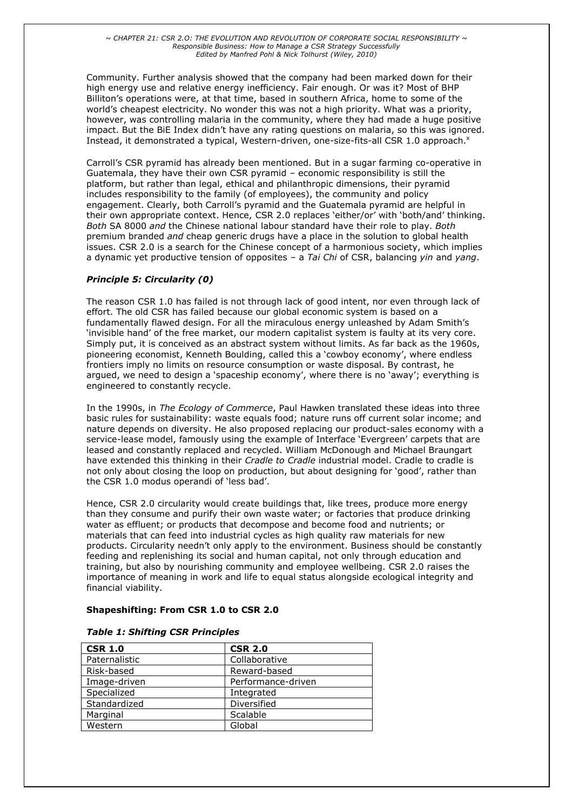Community. Further analysis showed that the company had been marked down for their high energy use and relative energy inefficiency. Fair enough. Or was it? Most of BHP Billiton's operations were, at that time, based in southern Africa, home to some of the world's cheapest electricity. No wonder this was not a high priority. What was a priority, however, was controlling malaria in the community, where they had made a huge positive impact. But the BiE Index didn't have any rating questions on malaria, so this was ignored. Instead, it demonstrated a typical, Western-driven, one-size-fits-all CSR 1.0 approach.<sup>x</sup>

Carroll's CSR pyramid has already been mentioned. But in a sugar farming co-operative in Guatemala, they have their own CSR pyramid – economic responsibility is still the platform, but rather than legal, ethical and philanthropic dimensions, their pyramid includes responsibility to the family (of employees), the community and policy engagement. Clearly, both Carroll's pyramid and the Guatemala pyramid are helpful in their own appropriate context. Hence, CSR 2.0 replaces 'either/or' with 'both/and' thinking. *Both* SA 8000 *and* the Chinese national labour standard have their role to play. *Both* premium branded *and* cheap generic drugs have a place in the solution to global health issues. CSR 2.0 is a search for the Chinese concept of a harmonious society, which implies a dynamic yet productive tension of opposites – a *Tai Chi* of CSR, balancing *yin* and *yang*.

## *Principle 5: Circularity (0)*

The reason CSR 1.0 has failed is not through lack of good intent, nor even through lack of effort. The old CSR has failed because our global economic system is based on a fundamentally flawed design. For all the miraculous energy unleashed by Adam Smith's 'invisible hand' of the free market, our modern capitalist system is faulty at its very core. Simply put, it is conceived as an abstract system without limits. As far back as the 1960s, pioneering economist, Kenneth Boulding, called this a 'cowboy economy', where endless frontiers imply no limits on resource consumption or waste disposal. By contrast, he argued, we need to design a 'spaceship economy', where there is no 'away'; everything is engineered to constantly recycle.

In the 1990s, in *The Ecology of Commerce*, Paul Hawken translated these ideas into three basic rules for sustainability: waste equals food; nature runs off current solar income; and nature depends on diversity. He also proposed replacing our product-sales economy with a service-lease model, famously using the example of Interface 'Evergreen' carpets that are leased and constantly replaced and recycled. William McDonough and Michael Braungart have extended this thinking in their *Cradle to Cradle* industrial model. Cradle to cradle is not only about closing the loop on production, but about designing for 'good', rather than the CSR 1.0 modus operandi of 'less bad'.

Hence, CSR 2.0 circularity would create buildings that, like trees, produce more energy than they consume and purify their own waste water; or factories that produce drinking water as effluent; or products that decompose and become food and nutrients; or materials that can feed into industrial cycles as high quality raw materials for new products. Circularity needn't only apply to the environment. Business should be constantly feeding and replenishing its social and human capital, not only through education and training, but also by nourishing community and employee wellbeing. CSR 2.0 raises the importance of meaning in work and life to equal status alongside ecological integrity and financial viability.

### **Shapeshifting: From CSR 1.0 to CSR 2.0**

| <b>CSR 1.0</b> | <b>CSR 2.0</b>     |
|----------------|--------------------|
| Paternalistic  | Collaborative      |
| Risk-based     | Reward-based       |
| Image-driven   | Performance-driven |
| Specialized    | Integrated         |
| Standardized   | Diversified        |
| Marginal       | Scalable           |
| Western        | Global             |

### *Table 1: Shifting CSR Principles*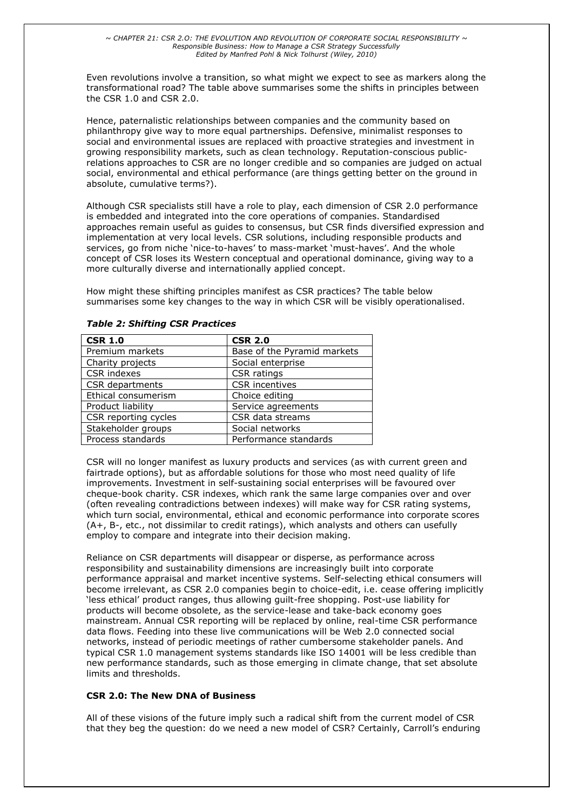*~ CHAPTER 21: CSR 2.O: THE EVOLUTION AND REVOLUTION OF CORPORATE SOCIAL RESPONSIBILITY ~ Responsible Business: How to Manage a CSR Strategy Successfully Edited by Manfred Pohl & Nick Tolhurst (Wiley, 2010)*

Even revolutions involve a transition, so what might we expect to see as markers along the transformational road? The table above summarises some the shifts in principles between the CSR 1.0 and CSR 2.0.

Hence, paternalistic relationships between companies and the community based on philanthropy give way to more equal partnerships. Defensive, minimalist responses to social and environmental issues are replaced with proactive strategies and investment in growing responsibility markets, such as clean technology. Reputation-conscious publicrelations approaches to CSR are no longer credible and so companies are judged on actual social, environmental and ethical performance (are things getting better on the ground in absolute, cumulative terms?).

Although CSR specialists still have a role to play, each dimension of CSR 2.0 performance is embedded and integrated into the core operations of companies. Standardised approaches remain useful as guides to consensus, but CSR finds diversified expression and implementation at very local levels. CSR solutions, including responsible products and services, go from niche 'nice-to-haves' to mass-market 'must-haves'. And the whole concept of CSR loses its Western conceptual and operational dominance, giving way to a more culturally diverse and internationally applied concept.

How might these shifting principles manifest as CSR practices? The table below summarises some key changes to the way in which CSR will be visibly operationalised.

| <b>CSR 1.0</b>       | <b>CSR 2.0</b>              |
|----------------------|-----------------------------|
| Premium markets      | Base of the Pyramid markets |
| Charity projects     | Social enterprise           |
| CSR indexes          | CSR ratings                 |
| CSR departments      | <b>CSR</b> incentives       |
| Ethical consumerism  | Choice editing              |
| Product liability    | Service agreements          |
| CSR reporting cycles | CSR data streams            |
| Stakeholder groups   | Social networks             |
| Process standards    | Performance standards       |

|  |  |  |  | <b>Table 2: Shifting CSR Practices</b> |
|--|--|--|--|----------------------------------------|
|--|--|--|--|----------------------------------------|

CSR will no longer manifest as luxury products and services (as with current green and fairtrade options), but as affordable solutions for those who most need quality of life improvements. Investment in self-sustaining social enterprises will be favoured over cheque-book charity. CSR indexes, which rank the same large companies over and over (often revealing contradictions between indexes) will make way for CSR rating systems, which turn social, environmental, ethical and economic performance into corporate scores (A+, B-, etc., not dissimilar to credit ratings), which analysts and others can usefully employ to compare and integrate into their decision making.

Reliance on CSR departments will disappear or disperse, as performance across responsibility and sustainability dimensions are increasingly built into corporate performance appraisal and market incentive systems. Self-selecting ethical consumers will become irrelevant, as CSR 2.0 companies begin to choice-edit, i.e. cease offering implicitly 'less ethical' product ranges, thus allowing guilt-free shopping. Post-use liability for products will become obsolete, as the service-lease and take-back economy goes mainstream. Annual CSR reporting will be replaced by online, real-time CSR performance data flows. Feeding into these live communications will be Web 2.0 connected social networks, instead of periodic meetings of rather cumbersome stakeholder panels. And typical CSR 1.0 management systems standards like ISO 14001 will be less credible than new performance standards, such as those emerging in climate change, that set absolute limits and thresholds.

## **CSR 2.0: The New DNA of Business**

All of these visions of the future imply such a radical shift from the current model of CSR that they beg the question: do we need a new model of CSR? Certainly, Carroll's enduring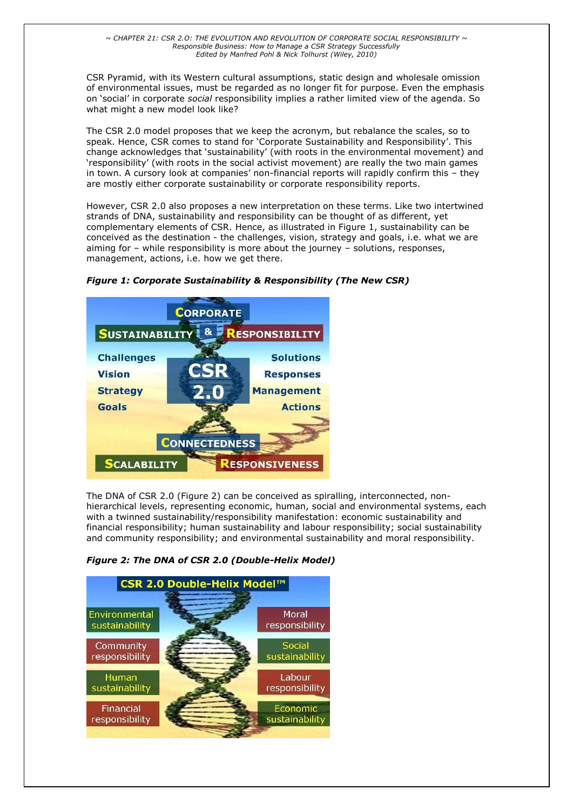*~ CHAPTER 21: CSR 2.O: THE EVOLUTION AND REVOLUTION OF CORPORATE SOCIAL RESPONSIBILITY ~ Responsible Business: How to Manage a CSR Strategy Successfully Edited by Manfred Pohl & Nick Tolhurst (Wiley, 2010)*

CSR Pyramid, with its Western cultural assumptions, static design and wholesale omission of environmental issues, must be regarded as no longer fit for purpose. Even the emphasis on 'social' in corporate *social* responsibility implies a rather limited view of the agenda. So what might a new model look like?

The CSR 2.0 model proposes that we keep the acronym, but rebalance the scales, so to speak. Hence, CSR comes to stand for 'Corporate Sustainability and Responsibility'. This change acknowledges that 'sustainability' (with roots in the environmental movement) and 'responsibility' (with roots in the social activist movement) are really the two main games in town. A cursory look at companies' non-financial reports will rapidly confirm this – they are mostly either corporate sustainability or corporate responsibility reports.

However, CSR 2.0 also proposes a new interpretation on these terms. Like two intertwined strands of DNA, sustainability and responsibility can be thought of as different, yet complementary elements of CSR. Hence, as illustrated in Figure 1, sustainability can be conceived as the destination - the challenges, vision, strategy and goals, i.e. what we are aiming for – while responsibility is more about the journey – solutions, responses, management, actions, i.e. how we get there.



*Figure 1: Corporate Sustainability & Responsibility (The New CSR)*

The DNA of CSR 2.0 (Figure 2) can be conceived as spiralling, interconnected, nonhierarchical levels, representing economic, human, social and environmental systems, each with a twinned sustainability/responsibility manifestation: economic sustainability and financial responsibility; human sustainability and labour responsibility; social sustainability and community responsibility; and environmental sustainability and moral responsibility.



*Figure 2: The DNA of CSR 2.0 (Double-Helix Model)*